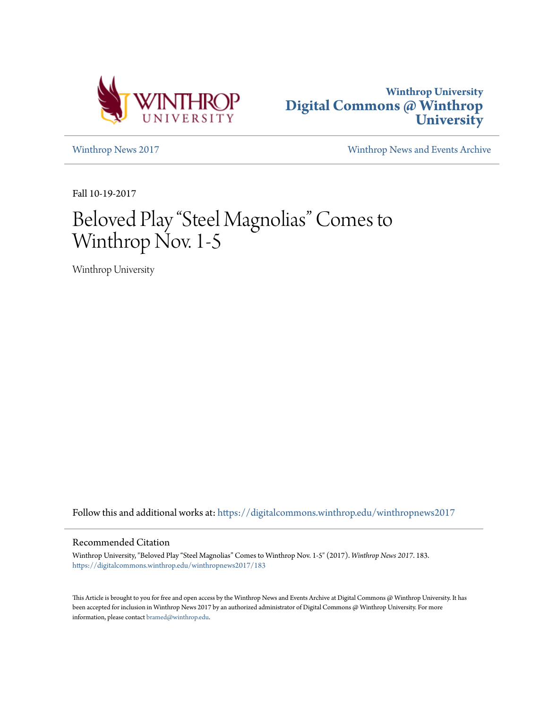



[Winthrop News 2017](https://digitalcommons.winthrop.edu/winthropnews2017?utm_source=digitalcommons.winthrop.edu%2Fwinthropnews2017%2F183&utm_medium=PDF&utm_campaign=PDFCoverPages) [Winthrop News and Events Archive](https://digitalcommons.winthrop.edu/winthropnewsarchives?utm_source=digitalcommons.winthrop.edu%2Fwinthropnews2017%2F183&utm_medium=PDF&utm_campaign=PDFCoverPages)

Fall 10-19-2017

## Beloved Play "Steel Magnolias" Comes to Winthrop Nov. 1-5

Winthrop University

Follow this and additional works at: [https://digitalcommons.winthrop.edu/winthropnews2017](https://digitalcommons.winthrop.edu/winthropnews2017?utm_source=digitalcommons.winthrop.edu%2Fwinthropnews2017%2F183&utm_medium=PDF&utm_campaign=PDFCoverPages)

## Recommended Citation

Winthrop University, "Beloved Play "Steel Magnolias" Comes to Winthrop Nov. 1-5" (2017). *Winthrop News 2017*. 183. [https://digitalcommons.winthrop.edu/winthropnews2017/183](https://digitalcommons.winthrop.edu/winthropnews2017/183?utm_source=digitalcommons.winthrop.edu%2Fwinthropnews2017%2F183&utm_medium=PDF&utm_campaign=PDFCoverPages)

This Article is brought to you for free and open access by the Winthrop News and Events Archive at Digital Commons @ Winthrop University. It has been accepted for inclusion in Winthrop News 2017 by an authorized administrator of Digital Commons @ Winthrop University. For more information, please contact [bramed@winthrop.edu](mailto:bramed@winthrop.edu).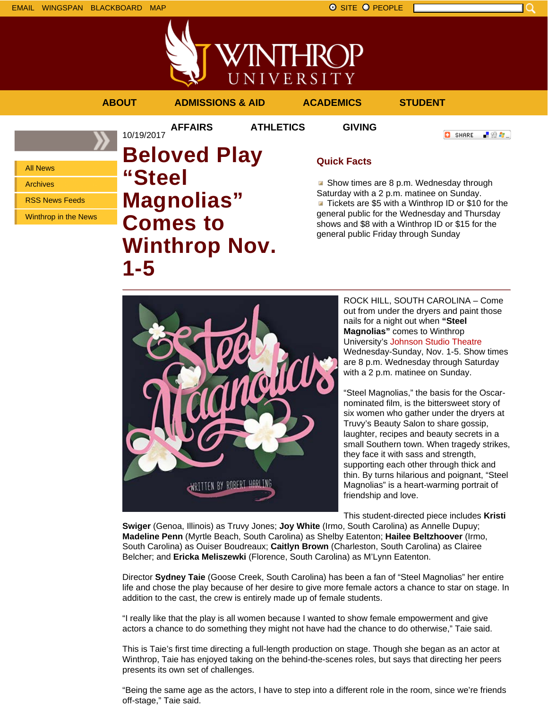EMAIL WINGSPAN BLACKBOARD MAP SITE PEOPLE SAND A SITE PEOPLE



NIVERSITY **ABOUT ADMISSIONS & AID ACADEMICS STUDENT AFFAIRS ATHLETICS GIVING** 10/19/2017

All News

Archives

RSS News Feeds

Winthrop in the News

**Beloved Play "Steel Magnolias" Comes to Winthrop Nov. 1-5**

## **Quick Facts**

**HK** 

Show times are 8 p.m. Wednesday through Saturday with a 2 p.m. matinee on Sunday. Tickets are \$5 with a Winthrop ID or \$10 for the general public for the Wednesday and Thursday shows and \$8 with a Winthrop ID or \$15 for the general public Friday through Sunday

**O** SHARE

「验費」



ROCK HILL, SOUTH CAROLINA – Come out from under the dryers and paint those nails for a night out when **"Steel Magnolias"** comes to Winthrop University's Johnson Studio Theatre Wednesday-Sunday, Nov. 1-5. Show times are 8 p.m. Wednesday through Saturday with a 2 p.m. matinee on Sunday.

"Steel Magnolias," the basis for the Oscarnominated film, is the bittersweet story of six women who gather under the dryers at Truvy's Beauty Salon to share gossip, laughter, recipes and beauty secrets in a small Southern town. When tragedy strikes, they face it with sass and strength, supporting each other through thick and thin. By turns hilarious and poignant, "Steel Magnolias" is a heart-warming portrait of friendship and love.

This student-directed piece includes **Kristi**

**Swiger** (Genoa, Illinois) as Truvy Jones; **Joy White** (Irmo, South Carolina) as Annelle Dupuy; **Madeline Penn** (Myrtle Beach, South Carolina) as Shelby Eatenton; **Hailee Beltzhoover** (Irmo, South Carolina) as Ouiser Boudreaux; **Caitlyn Brown** (Charleston, South Carolina) as Clairee Belcher; and **Ericka Meliszewki** (Florence, South Carolina) as M'Lynn Eatenton.

Director **Sydney Taie** (Goose Creek, South Carolina) has been a fan of "Steel Magnolias" her entire life and chose the play because of her desire to give more female actors a chance to star on stage. In addition to the cast, the crew is entirely made up of female students.

"I really like that the play is all women because I wanted to show female empowerment and give actors a chance to do something they might not have had the chance to do otherwise," Taie said.

This is Taie's first time directing a full-length production on stage. Though she began as an actor at Winthrop, Taie has enjoyed taking on the behind-the-scenes roles, but says that directing her peers presents its own set of challenges.

"Being the same age as the actors, I have to step into a different role in the room, since we're friends off-stage," Taie said.